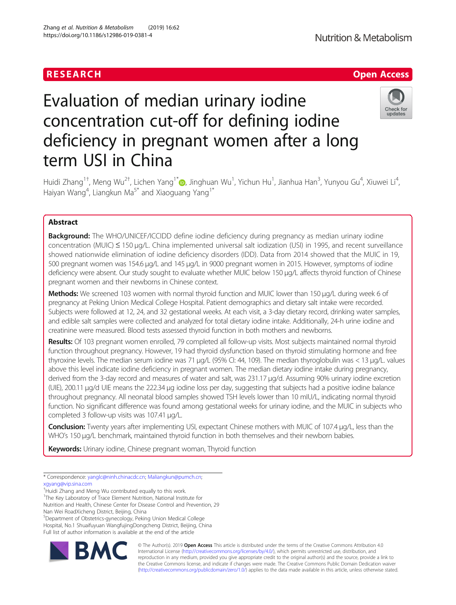

# Evaluation of median urinary iodine concentration cut-off for defining iodine deficiency in pregnant women after a long term USI in China



Huidi Zhang<sup>1†</sup>, Meng Wu<sup>2†</sup>, Lichen Yang<sup>1\*</sup>®, Jinghuan Wu<sup>1</sup>, Yichun Hu<sup>1</sup>, Jianhua Han<sup>3</sup>, Yunyou Gu<sup>4</sup>, Xiuwei Li<sup>4</sup> , Haiyan Wang<sup>4</sup>, Liangkun Ma<sup>5\*</sup> and Xiaoguang Yang<sup>1\*</sup>

# Abstract

Background: The WHO/UNICEF/ICCIDD define iodine deficiency during pregnancy as median urinary iodine concentration (MUIC) ≤ 150 μg/L. China implemented universal salt iodization (USI) in 1995, and recent surveillance showed nationwide elimination of iodine deficiency disorders (IDD). Data from 2014 showed that the MUIC in 19, 500 pregnant women was 154.6 μg/L and 145 μg/L in 9000 pregnant women in 2015. However, symptoms of iodine deficiency were absent. Our study sought to evaluate whether MUIC below 150 μg/L affects thyroid function of Chinese pregnant women and their newborns in Chinese context.

Methods: We screened 103 women with normal thyroid function and MUIC lower than 150 µg/L during week 6 of pregnancy at Peking Union Medical College Hospital. Patient demographics and dietary salt intake were recorded. Subjects were followed at 12, 24, and 32 gestational weeks. At each visit, a 3-day dietary record, drinking water samples, and edible salt samples were collected and analyzed for total dietary iodine intake. Additionally, 24-h urine iodine and creatinine were measured. Blood tests assessed thyroid function in both mothers and newborns.

Results: Of 103 pregnant women enrolled, 79 completed all follow-up visits. Most subjects maintained normal thyroid function throughout pregnancy. However, 19 had thyroid dysfunction based on thyroid stimulating hormone and free thyroxine levels. The median serum iodine was 71 μg/L (95% CI: 44, 109). The median thyroglobulin was < 13 μg/L. values above this level indicate iodine deficiency in pregnant women. The median dietary iodine intake during pregnancy, derived from the 3-day record and measures of water and salt, was 231.17 μg/d. Assuming 90% urinary iodine excretion (UIE), 200.11 μg/d UIE means the 222.34 μg iodine loss per day, suggesting that subjects had a positive iodine balance throughout pregnancy. All neonatal blood samples showed TSH levels lower than 10 mIU/L, indicating normal thyroid function. No significant difference was found among gestational weeks for urinary iodine, and the MUIC in subjects who completed 3 follow-up visits was 107.41 μg/L.

Conclusion: Twenty years after implementing USI, expectant Chinese mothers with MUIC of 107.4 μg/L, less than the WHO's 150 μg/L benchmark, maintained thyroid function in both themselves and their newborn babies.

**Keywords:** Urinary iodine, Chinese pregnant woman, Thyroid function

\* Correspondence: [yanglc@ninh.chinacdc.cn;](mailto:yanglc@ninh.chinacdc.cn) [Maliangkun@pumch.cn;](mailto:Maliangkun@pumch.cn) [xgyang@vip.sina.com](mailto:xgyang@vip.sina.com)

† Huidi Zhang and Meng Wu contributed equally to this work.

<sup>1</sup>The Key Laboratory of Trace Element Nutrition, National Institute for

Nutrition and Health, Chinese Center for Disease Control and Prevention, 29 Nan Wei RoadXicheng District, Beijing, China

5 Department of Obstetrics-gynecology, Peking Union Medical College Hospital, No.1 Shuaifuyuan WangfujingDongcheng District, Beijing, China Full list of author information is available at the end of the article



© The Author(s). 2019 **Open Access** This article is distributed under the terms of the Creative Commons Attribution 4.0 International License [\(http://creativecommons.org/licenses/by/4.0/](http://creativecommons.org/licenses/by/4.0/)), which permits unrestricted use, distribution, and reproduction in any medium, provided you give appropriate credit to the original author(s) and the source, provide a link to the Creative Commons license, and indicate if changes were made. The Creative Commons Public Domain Dedication waiver [\(http://creativecommons.org/publicdomain/zero/1.0/](http://creativecommons.org/publicdomain/zero/1.0/)) applies to the data made available in this article, unless otherwise stated.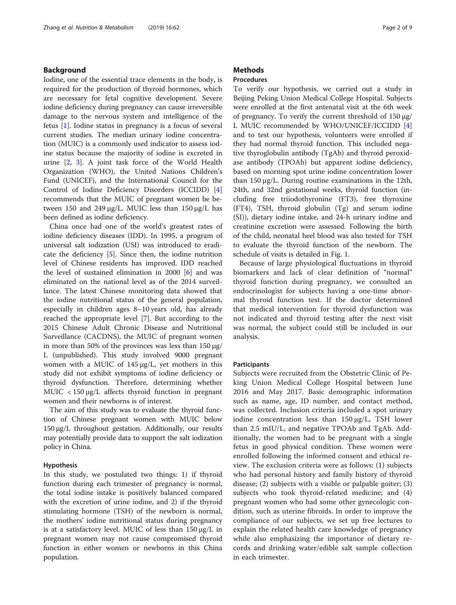# Background

Iodine, one of the essential trace elements in the body, is required for the production of thyroid hormones, which are necessary for fetal cognitive development. Severe iodine deficiency during pregnancy can cause irreversible damage to the nervous system and intelligence of the fetus [[1\]](#page-7-0). Iodine status in pregnancy is a focus of several current studies. The median urinary iodine concentration (MUIC) is a commonly used indicator to assess iodine status because the majority of iodine is excreted in urine [[2,](#page-7-0) [3](#page-7-0)]. A joint task force of the World Health Organization (WHO), the United Nations Children's Fund (UNICEF), and the International Council for the Control of Iodine Deficiency Disorders (ICCIDD) [\[4](#page-7-0)] recommends that the MUIC of pregnant women be between 150 and 249 μg/L. MUIC less than 150 μg/L has been defined as iodine deficiency.

China once had one of the world's greatest rates of iodine deficiency diseases (IDD). In 1995, a program of universal salt iodization (USI) was introduced to eradicate the deficiency [\[5](#page-8-0)]. Since then, the iodine nutrition level of Chinese residents has improved. IDD reached the level of sustained elimination in 2000 [\[6](#page-8-0)] and was eliminated on the national level as of the 2014 surveillance. The latest Chinese monitoring data showed that the iodine nutritional status of the general population, especially in children ages 8–10 years old, has already reached the appropriate level [\[7](#page-8-0)]. But according to the 2015 Chinese Adult Chronic Disease and Nutritional Surveillance (CACDNS), the MUIC of pregnant women in more than 50% of the provinces was less than 150 μg/ L (unpublished). This study involved 9000 pregnant women with a MUIC of 145 μg/L, yet mothers in this study did not exhibit symptoms of iodine deficiency or thyroid dysfunction. Therefore, determining whether MUIC < 150 μg/L affects thyroid function in pregnant women and their newborns is of interest.

The aim of this study was to evaluate the thyroid function of Chinese pregnant women with MUIC below 150 μg/L throughout gestation. Additionally, our results may potentially provide data to support the salt iodization policy in China.

#### Hypothesis

In this study, we postulated two things: 1) if thyroid function during each trimester of pregnancy is normal, the total iodine intake is positively balanced compared with the excretion of urine iodine, and 2) if the thyroid stimulating hormone (TSH) of the newborn is normal, the mothers' iodine nutritional status during pregnancy is at a satisfactory level. MUIC of less than 150 μg/L in pregnant women may not cause compromised thyroid function in either women or newborns in this China population.

# **Methods**

# Procedures

To verify our hypothesis, we carried out a study in Beijing Peking Union Medical College Hospital. Subjects were enrolled at the first antenatal visit at the 6th week of pregnancy. To verify the current threshold of 150 μg/ L MUIC recommended by WHO/UNICEF/ICCIDD [\[4](#page-7-0)] and to test our hypothesis, volunteers were enrolled if they had normal thyroid function. This included negative thyroglobulin antibody (TgAb) and thyroid peroxidase antibody (TPOAb) but apparent iodine deficiency, based on morning spot urine iodine concentration lower than 150 μg/L. During routine examinations in the 12th, 24th, and 32nd gestational weeks, thyroid function (including free triiodothyronine (FT3), free thyroxine (FT4), TSH, thyroid globulin (Tg) and serum iodine (SI)), dietary iodine intake, and 24-h urinary iodine and creatinine excretion were assessed. Following the birth of the child, neonatal heel blood was also tested for TSH to evaluate the thyroid function of the newborn. The schedule of visits is detailed in Fig. [1.](#page-2-0)

Because of large physiological fluctuations in thyroid biomarkers and lack of clear definition of "normal" thyroid function during pregnancy, we consulted an endocrinologist for subjects having a one-time abnormal thyroid function test. If the doctor determined that medical intervention for thyroid dysfunction was not indicated and thyroid testing after the next visit was normal, the subject could still be included in our analysis.

#### Participants

Subjects were recruited from the Obstetric Clinic of Peking Union Medical College Hospital between June 2016 and May 2017. Basic demographic information such as name, age, ID number, and contact method, was collected. Inclusion criteria included a spot urinary iodine concentration less than 150 μg/L, TSH lower than 2.5 mIU/L, and negative TPOAb and TgAb. Additionally, the women had to be pregnant with a single fetus in good physical condition. These women were enrolled following the informed consent and ethical review. The exclusion criteria were as follows: (1) subjects who had personal history and family history of thyroid disease; (2) subjects with a visible or palpable goiter; (3) subjects who took thyroid-related medicine; and (4) pregnant women who had some other gynecologic condition, such as uterine fibroids. In order to improve the compliance of our subjects, we set up free lectures to explain the related health care knowledge of pregnancy while also emphasizing the importance of dietary records and drinking water/edible salt sample collection in each trimester.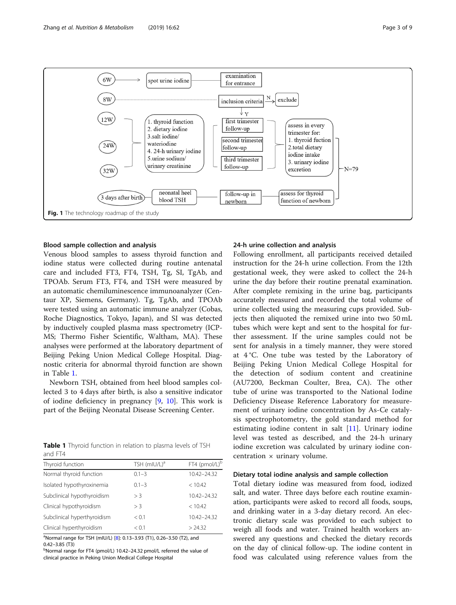

<span id="page-2-0"></span>

# Blood sample collection and analysis

Venous blood samples to assess thyroid function and iodine status were collected during routine antenatal care and included FT3, FT4, TSH, Tg, SI, TgAb, and TPOAb. Serum FT3, FT4, and TSH were measured by an automatic chemiluminescence immunoanalyzer (Centaur XP, Siemens, Germany). Tg, TgAb, and TPOAb were tested using an automatic immune analyzer (Cobas, Roche Diagnostics, Tokyo, Japan), and SI was detected by inductively coupled plasma mass spectrometry (ICP-MS; Thermo Fisher Scientific, Waltham, MA). These analyses were performed at the laboratory department of Beijing Peking Union Medical College Hospital. Diagnostic criteria for abnormal thyroid function are shown in Table 1.

Newborn TSH, obtained from heel blood samples collected 3 to 4 days after birth, is also a sensitive indicator of iodine deficiency in pregnancy [[9,](#page-8-0) [10\]](#page-8-0). This work is part of the Beijing Neonatal Disease Screening Center.

Table 1 Thyroid function in relation to plasma levels of TSH and FT4

| Thyroid function            | TSH $(mIU/L)^a$ | FT4 (pmol/L) <sup>b</sup> |
|-----------------------------|-----------------|---------------------------|
| Normal thyroid function     | $0.1 - 3$       | 10.42-24.32               |
| Isolated hypothyroxinemia   | $0.1 - 3$       | < 10.42                   |
| Subclinical hypothyroidism  | $>$ 3           | 10.42-24.32               |
| Clinical hypothyroidism     | $>$ 3           | < 10.42                   |
| Subclinical hyperthyroidism | < 0.1           | 10.42-24.32               |
| Clinical hyperthyroidism    | < 0.1           | > 24.32                   |

<sup>a</sup>Normal range for TSH (mIU/L) [\[8\]](#page-8-0): 0.13-3.93 (T1), 0.26-3.50 (T2), and

0.42–3.85 (T3)<br><sup>b</sup>Normal range for FT4 (pmol/L) 10.42–24.32 pmol/L referred the value of clinical practice in Peking Union Medical College Hospital

# 24-h urine collection and analysis

Following enrollment, all participants received detailed instruction for the 24-h urine collection. From the 12th gestational week, they were asked to collect the 24-h urine the day before their routine prenatal examination. After complete remixing in the urine bag, participants accurately measured and recorded the total volume of urine collected using the measuring cups provided. Subjects then aliquoted the remixed urine into two 50 mL tubes which were kept and sent to the hospital for further assessment. If the urine samples could not be sent for analysis in a timely manner, they were stored at 4 °C. One tube was tested by the Laboratory of Beijing Peking Union Medical College Hospital for the detection of sodium content and creatinine (AU7200, Beckman Coulter, Brea, CA). The other tube of urine was transported to the National Iodine Deficiency Disease Reference Laboratory for measurement of urinary iodine concentration by As-Ce catalysis spectrophotometry, the gold standard method for estimating iodine content in salt [[11\]](#page-8-0). Urinary iodine level was tested as described, and the 24-h urinary iodine excretion was calculated by urinary iodine concentration × urinary volume.

#### Dietary total iodine analysis and sample collection

Total dietary iodine was measured from food, iodized salt, and water. Three days before each routine examination, participants were asked to record all foods, soups, and drinking water in a 3-day dietary record. An electronic dietary scale was provided to each subject to weigh all foods and water. Trained health workers answered any questions and checked the dietary records on the day of clinical follow-up. The iodine content in food was calculated using reference values from the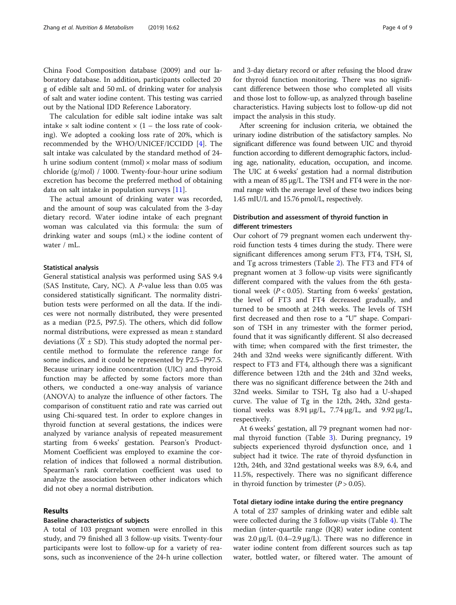China Food Composition database (2009) and our laboratory database. In addition, participants collected 20 g of edible salt and 50 mL of drinking water for analysis of salt and water iodine content. This testing was carried out by the National IDD Reference Laboratory.

The calculation for edible salt iodine intake was salt intake  $\times$  salt iodine content  $\times$  (1 – the loss rate of cooking). We adopted a cooking loss rate of 20%, which is recommended by the WHO/UNICEF/ICCIDD [[4\]](#page-7-0). The salt intake was calculated by the standard method of 24 h urine sodium content (mmol)  $\times$  molar mass of sodium chloride (g/mol) / 1000. Twenty-four-hour urine sodium excretion has become the preferred method of obtaining data on salt intake in population surveys [[11\]](#page-8-0).

The actual amount of drinking water was recorded, and the amount of soup was calculated from the 3-day dietary record. Water iodine intake of each pregnant woman was calculated via this formula: the sum of drinking water and soups  $(mL) \times$  the iodine content of water / mL.

### Statistical analysis

General statistical analysis was performed using SAS 9.4 (SAS Institute, Cary, NC). A P-value less than 0.05 was considered statistically significant. The normality distribution tests were performed on all the data. If the indices were not normally distributed, they were presented as a median (P2.5, P97.5). The others, which did follow normal distributions, were expressed as mean ± standard deviations ( $\overline{X}$  ± SD). This study adopted the normal percentile method to formulate the reference range for some indices, and it could be represented by P2.5–P97.5. Because urinary iodine concentration (UIC) and thyroid function may be affected by some factors more than others, we conducted a one-way analysis of variance (ANOVA) to analyze the influence of other factors. The comparison of constituent ratio and rate was carried out using Chi-squared test. In order to explore changes in thyroid function at several gestations, the indices were analyzed by variance analysis of repeated measurement starting from 6 weeks' gestation. Pearson's Product-Moment Coefficient was employed to examine the correlation of indices that followed a normal distribution. Spearman's rank correlation coefficient was used to analyze the association between other indicators which did not obey a normal distribution.

#### Results

#### Baseline characteristics of subjects

A total of 103 pregnant women were enrolled in this study, and 79 finished all 3 follow-up visits. Twenty-four participants were lost to follow-up for a variety of reasons, such as inconvenience of the 24-h urine collection and 3-day dietary record or after refusing the blood draw for thyroid function monitoring. There was no significant difference between those who completed all visits and those lost to follow-up, as analyzed through baseline characteristics. Having subjects lost to follow-up did not impact the analysis in this study.

After screening for inclusion criteria, we obtained the urinary iodine distribution of the satisfactory samples. No significant difference was found between UIC and thyroid function according to different demographic factors, including age, nationality, education, occupation, and income. The UIC at 6 weeks' gestation had a normal distribution with a mean of 85 μg/L. The TSH and FT4 were in the normal range with the average level of these two indices being 1.45 mIU/L and 15.76 pmol/L, respectively.

# Distribution and assessment of thyroid function in different trimesters

Our cohort of 79 pregnant women each underwent thyroid function tests 4 times during the study. There were significant differences among serum FT3, FT4, TSH, SI, and Tg across trimesters (Table [2](#page-4-0)). The FT3 and FT4 of pregnant women at 3 follow-up visits were significantly different compared with the values from the 6th gestational week  $(P < 0.05)$ . Starting from 6 weeks' gestation, the level of FT3 and FT4 decreased gradually, and turned to be smooth at 24th weeks. The levels of TSH first decreased and then rose to a "U" shape. Comparison of TSH in any trimester with the former period, found that it was significantly different. SI also decreased with time; when compared with the first trimester, the 24th and 32nd weeks were significantly different. With respect to FT3 and FT4, although there was a significant difference between 12th and the 24th and 32nd weeks, there was no significant difference between the 24th and 32nd weeks. Similar to TSH, Tg also had a U-shaped curve. The value of Tg in the 12th, 24th, 32nd gestational weeks was  $8.91 \mu g/L$ ,  $7.74 \mu g/L$ , and  $9.92 \mu g/L$ , respectively.

At 6 weeks' gestation, all 79 pregnant women had normal thyroid function (Table [3](#page-4-0)). During pregnancy, 19 subjects experienced thyroid dysfunction once, and 1 subject had it twice. The rate of thyroid dysfunction in 12th, 24th, and 32nd gestational weeks was 8.9, 6.4, and 11.5%, respectively. There was no significant difference in thyroid function by trimester  $(P > 0.05)$ .

#### Total dietary iodine intake during the entire pregnancy

A total of 237 samples of drinking water and edible salt were collected during the 3 follow-up visits (Table [4](#page-5-0)). The median (inter-quartile range (IQR) water iodine content was 2.0 μg/L (0.4–2.9 μg/L). There was no difference in water iodine content from different sources such as tap water, bottled water, or filtered water. The amount of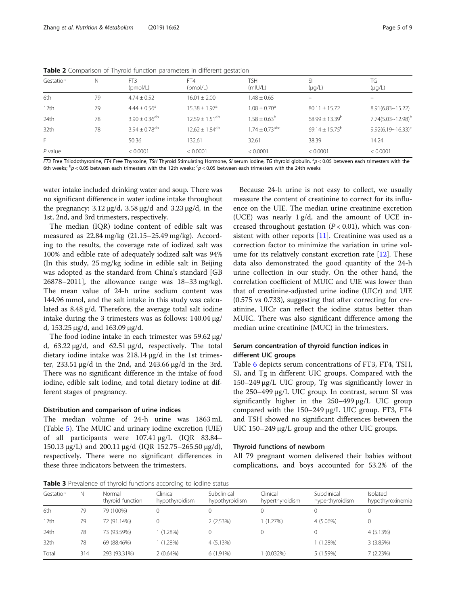| Gestation | Ν  | FT <sub>3</sub>               | FT4                   | TSH                          | SI                             | TG                            |
|-----------|----|-------------------------------|-----------------------|------------------------------|--------------------------------|-------------------------------|
|           |    | (pmol/L)                      | (pmol/L)              | (mIU/L)                      | $(\mu q/L)$                    | $(\mu q/L)$                   |
| 6th       | 79 | $4.74 \pm 0.52$               | $16.01 \pm 2.00$      | $1.48 \pm 0.65$              |                                |                               |
| 12th      | 79 | $4.44 \pm 0.56$ <sup>a</sup>  | $15.38 + 1.97a$       | $1.08 \pm 0.70$ <sup>a</sup> | $80.11 \pm 15.72$              | $8.91(6.83 \sim 15.22)$       |
| 24th      | 78 | $3.90 \pm 0.36^{ab}$          | $12.59 \pm 1.51^{ab}$ | $1.58 \pm 0.63^b$            | $68.99 \pm 13.39^b$            | $7.74(5.03 \times 12.98)^{b}$ |
| 32th      | 78 | $3.94 \pm 0.78$ <sup>ab</sup> | $12.62 \pm 1.84^{ab}$ | $1.74 \pm 0.73^{\rm abc}$    | $69.14 \pm 15.75^{\mathrm{b}}$ | $9.92(6.19~16.33)^c$          |
| F.        |    | 50.36                         | 132.61                | 32.61                        | 38.39                          | 14.24                         |
| P value   |    | < 0.0001                      | < 0.0001              | < 0.0001                     | < 0.0001                       | < 0.0001                      |

<span id="page-4-0"></span>Table 2 Comparison of Thyroid function parameters in different gestation

FT3 Free Triiodothyronine, FT4 Free Thyroxine, TSH Thyroid Stimulating Hormone, SI serum iodine, TG thyroid globulin.  ${}^3p$  < 0.05 between each trimesters with the 6th weeks;  $^{\rm b}$ p < 0.05 between each trimesters with the 12th weeks;  $^{\rm c}$ p < 0.05 between each trimesters with the 24th weeks

water intake included drinking water and soup. There was no significant difference in water iodine intake throughout the pregnancy: 3.12 μg/d, 3.58 μg/d and 3.23 μg/d, in the 1st, 2nd, and 3rd trimesters, respectively.

The median (IQR) iodine content of edible salt was measured as 22.84 mg/kg (21.15–25.49 mg/kg). According to the results, the coverage rate of iodized salt was 100% and edible rate of adequately iodized salt was 94% (In this study, 25 mg/kg iodine in edible salt in Beijing was adopted as the standard from China's standard [GB 26878–2011], the allowance range was 18–33 mg/kg). The mean value of 24-h urine sodium content was 144.96 mmol, and the salt intake in this study was calculated as 8.48 g/d. Therefore, the average total salt iodine intake during the 3 trimesters was as follows: 140.04 μg/ d, 153.25 μg/d, and 163.09 μg/d.

The food iodine intake in each trimester was 59.62 μg/ d, 63.22 μg/d, and 62.51 μg/d, respectively. The total dietary iodine intake was 218.14 μg/d in the 1st trimester, 233.51 μg/d in the 2nd, and 243.66 μg/d in the 3rd. There was no significant difference in the intake of food iodine, edible salt iodine, and total dietary iodine at different stages of pregnancy.

# Distribution and comparison of urine indices

The median volume of 24-h urine was 1863 mL (Table [5\)](#page-5-0). The MUIC and urinary iodine excretion (UIE) of all participants were 107.41 μg/L (IQR 83.84– 150.13 μg/L) and 200.11 μg/d (IQR 152.75–265.50 μg/d), respectively. There were no significant differences in these three indicators between the trimesters.

Because 24-h urine is not easy to collect, we usually measure the content of creatinine to correct for its influence on the UIE. The median urine creatinine excretion (UCE) was nearly 1 g/d, and the amount of UCE increased throughout gestation  $(P < 0.01)$ , which was consistent with other reports [[11\]](#page-8-0). Creatinine was used as a correction factor to minimize the variation in urine volume for its relatively constant excretion rate  $[12]$  $[12]$  $[12]$ . These data also demonstrated the good quantity of the 24-h urine collection in our study. On the other hand, the correlation coefficient of MUIC and UIE was lower than that of creatinine-adjusted urine iodine (UICr) and UIE (0.575 vs 0.733), suggesting that after correcting for creatinine, UICr can reflect the iodine status better than MUIC. There was also significant difference among the median urine creatinine (MUC) in the trimesters.

# Serum concentration of thyroid function indices in different UIC groups

Table [6](#page-6-0) depicts serum concentrations of FT3, FT4, TSH, SI, and Tg in different UIC groups. Compared with the 150–249 μg/L UIC group, Tg was significantly lower in the 250–499 μg/L UIC group. In contrast, serum SI was significantly higher in the 250–499 μg/L UIC group compared with the 150–249 μg/L UIC group. FT3, FT4 and TSH showed no significant differences between the UIC 150–249 μg/L group and the other UIC groups.

# Thyroid functions of newborn

All 79 pregnant women delivered their babies without complications, and boys accounted for 53.2% of the

Table 3 Prevalence of thyroid functions according to iodine status

| Gestation | N   | Normal<br>thyroid function | Clinical<br>hypothyroidism | Subclinical<br>hypothyroidism | Clinical<br>hyperthyroidism | Subclinical<br>hyperthyroidism | Isolated<br>hypothyroxinemia |
|-----------|-----|----------------------------|----------------------------|-------------------------------|-----------------------------|--------------------------------|------------------------------|
| 6th       | 79  | 79 (100%)                  |                            |                               | 0                           |                                | 0                            |
| 12th      | 79  | 72 (91.14%)                |                            | 2(2.53%)                      | 1(1.27%)                    | 4 (5.06%)                      | 0                            |
| 24th      | 78  | 73 (93.59%)                | $(1.28\%)$                 | 0                             | 0                           |                                | 4(5.13%)                     |
| 32th      | 78  | 69 (88.46%)                | 1(1.28%)                   | 4(5.13%)                      |                             | 1(1.28%)                       | 3(3.85%)                     |
| Total     | 314 | 293 (93.31%)               | 2(0.64%)                   | $6(1.91\%)$                   | 1(0.032%)                   | 5 (1.59%)                      | 7(2.23%)                     |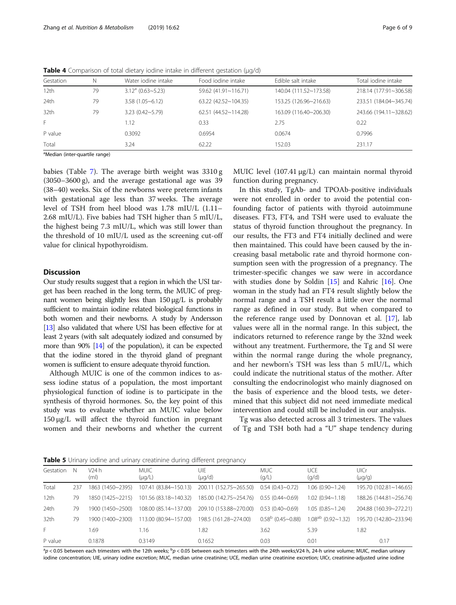| Gestation | N  | Water jodine intake    | Food jodine intake   | Edible salt intake     | Total iodine intake    |
|-----------|----|------------------------|----------------------|------------------------|------------------------|
| 12th      | 79 | $3.12^a$ (0.63~5.23)   | 59.62 (41.91~116.71) | 140.04 (111.52~173.58) | 218.14 (177.91~306.58) |
| 24th      | 79 | $3.58(1.05 - 6.12)$    | 63.22 (42.52~104.35) | 153.25 (126.96~216.63) | 233.51 (184.04~345.74) |
| 32th      | 79 | $3.23(0.42 \sim 5.79)$ | 62.51 (44.52~114.28) | 163.09 (116.40~206.30) | 243.66 (194.11~328.62) |
| F.        |    | 1.12                   | 0.33                 | 2.75                   | 0.22                   |
| P value   |    | 0.3092                 | 0.6954               | 0.0674                 | 0.7996                 |
| Total     |    | 3.24                   | 62.22                | 152.03                 | 231.17                 |
|           |    |                        |                      |                        |                        |

<span id="page-5-0"></span>Table 4 Comparison of total dietary iodine intake in different gestation (μg/d)

<sup>a</sup>Median (inter-quartile range)

babies (Table [7](#page-6-0)). The average birth weight was 3310 g (3050–3600 g), and the average gestational age was 39 (38–40) weeks. Six of the newborns were preterm infants with gestational age less than 37 weeks. The average level of TSH from heel blood was 1.78 mIU/L (1.11– 2.68 mIU/L). Five babies had TSH higher than 5 mIU/L, the highest being 7.3 mIU/L, which was still lower than the threshold of 10 mIU/L used as the screening cut-off value for clinical hypothyroidism.

# **Discussion**

Our study results suggest that a region in which the USI target has been reached in the long term, the MUIC of pregnant women being slightly less than 150 μg/L is probably sufficient to maintain iodine related biological functions in both women and their newborns. A study by Andersson [[13\]](#page-8-0) also validated that where USI has been effective for at least 2 years (with salt adequately iodized and consumed by more than 90% [\[14\]](#page-8-0) of the population), it can be expected that the iodine stored in the thyroid gland of pregnant women is sufficient to ensure adequate thyroid function.

Although MUIC is one of the common indices to assess iodine status of a population, the most important physiological function of iodine is to participate in the synthesis of thyroid hormones. So, the key point of this study was to evaluate whether an MUIC value below 150 μg/L will affect the thyroid function in pregnant women and their newborns and whether the current MUIC level (107.41 μg/L) can maintain normal thyroid function during pregnancy.

In this study, TgAb- and TPOAb-positive individuals were not enrolled in order to avoid the potential confounding factor of patients with thyroid autoimmune diseases. FT3, FT4, and TSH were used to evaluate the status of thyroid function throughout the pregnancy. In our results, the FT3 and FT4 initially declined and were then maintained. This could have been caused by the increasing basal metabolic rate and thyroid hormone consumption seen with the progression of a pregnancy. The trimester-specific changes we saw were in accordance with studies done by Soldin [[15\]](#page-8-0) and Kahric [[16](#page-8-0)]. One woman in the study had an FT4 result slightly below the normal range and a TSH result a little over the normal range as defined in our study. But when compared to the reference range used by Donnovan et al. [[17](#page-8-0)], lab values were all in the normal range. In this subject, the indicators returned to reference range by the 32nd week without any treatment. Furthermore, the Tg and SI were within the normal range during the whole pregnancy, and her newborn's TSH was less than 5 mIU/L, which could indicate the nutritional status of the mother. After consulting the endocrinologist who mainly diagnosed on the basis of experience and the blood tests, we determined that this subject did not need immediate medical intervention and could still be included in our analysis.

Tg was also detected across all 3 trimesters. The values of Tg and TSH both had a "U" shape tendency during

**Table 5** Urinary jodine and urinary creatinine during different pregnancy

|           | <b>TWATE</b> Children's roomselected annually ereading additional annual prespirance, |                            |                            |                                                  |                            |                         |                        |  |
|-----------|---------------------------------------------------------------------------------------|----------------------------|----------------------------|--------------------------------------------------|----------------------------|-------------------------|------------------------|--|
| Gestation | N                                                                                     | V24 h<br>(m <sub>l</sub> ) | <b>MUIC</b><br>$(\mu q/L)$ | UIE<br>$(\mu q/d)$                               | <b>MUC</b><br>(q/L)        | UCE<br>(q/d)            | UICr<br>$(\mu q/q)$    |  |
| Total     | 237                                                                                   | 1863 (1450~2395)           |                            | $107.41 (83.84~150.13)$ $200.11 (152.75~265.50)$ | $0.54(0.43\sim0.72)$       | $1.06(0.90 \sim 1.24)$  | 195.70 (102.81~146.65) |  |
| 12th      | 79                                                                                    | 1850 (1425~2215)           |                            | 101.56 (83.18~140.32) 185.00 (142.75~254.76)     | $0.55(0.44\sim0.69)$       | $1.02(0.94 \sim 1.18)$  | 188.26 (144.81~256.74) |  |
| 24th      | 79                                                                                    | 1900 (1450~2500)           |                            | 108.00 (85.14~137.00) 209.10 (153.88~270.00)     | $0.53(0.40\sim0.69)$       | $1.05(0.85 \sim 1.24)$  | 204.88 (160.39~272.21) |  |
| 32th      | 79                                                                                    | 1900 (1400~2300)           | 113.00 (80.94~157.00)      | 198.5 (161.28~274.00)                            | $0.58^{\circ}$ (0.45~0.88) | $1.08^{ab}$ (0.92~1.32) | 195.70 (142.80~233.94) |  |
| F.        |                                                                                       | 1.69                       | 1.16                       | 1.82                                             | 3.62                       | 5.39                    | 1.82                   |  |
| P value   |                                                                                       | 0.1878                     | 0.3149                     | 0.1652                                           | 0.03                       | 0.01                    | 0.17                   |  |

 $^{\text{a}}$ p < 0.05 between each trimesters with the 12th weeks;  $^{\text{b}}$ p < 0.05 between each trimesters with the 24th weeks; V24 h, 24-h urine volume; MUIC, median urinary iodine concentration; UIE, urinary iodine excretion; MUC, median urine creatinine; UCE, median urine creatinine excretion; UICr, creatinine-adjusted urine iodine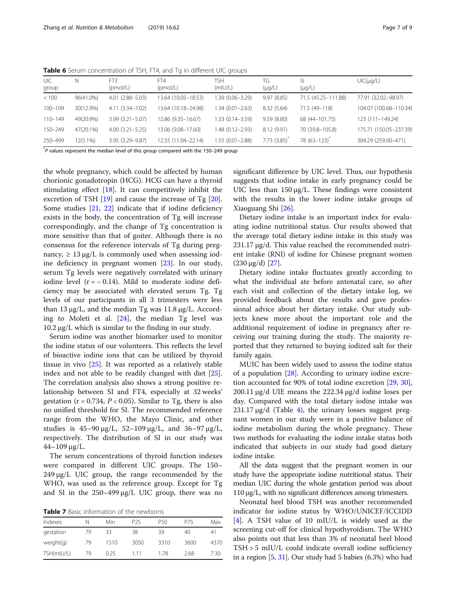<span id="page-6-0"></span>Table 6 Serum concentration of TSH, FT4, and Tq in different UIC groups

| <b>UIC</b><br>group | N         | FT3<br>(pmol/L)     | FT4<br>(pmol/L)     | TSH<br>(mIU/L)      | TG<br>$(\mu q/L)$          | SI<br>$(\mu q/L)$   | $UIC(\mu g/L)$         |
|---------------------|-----------|---------------------|---------------------|---------------------|----------------------------|---------------------|------------------------|
| < 100               | 96(41.0%) | $4.01(2.88 - 5.03)$ | 13.64 (10.05-18.53) | $1.39(0.06 - 3.29)$ | 9.97(8.85)                 | 71.5 (45.25-111.88) | 77.91 (32.02-98.97)    |
| $100 - 109$         | 30(12.9%) | 4.11 (3.34–7.02)    | 13.64 (10.18-24.98) | $1.34(0.01 - 2.63)$ | 8.32(5.64)                 | 71.5 (49-118)       | 104.07 (100.68-110.34) |
| $110 - 149$         | 49(20.9%) | $3.99(3.21 - 5.07)$ | 12.86 (9.35-16.67)  | $1.33(0.14 - 3.59)$ | 9.59(8.80)                 | 68 (44-101.75)      | 123 (111-149.24)       |
| 150-249             | 47(20.1%) | $4.00(3.21 - 5.25)$ | 13.06 (9.08-17.60)  | $1.48(0.12 - 2.93)$ | 8.12 (9.91)                | 70 (39.8-105.8)     | 175.71 (150.05-237.39) |
| 250-499             | 12(5.1%)  | 3.95 (3.29–9.87)    | 12.55 (11.04-22.14) | $1.55(0.01 - 2.88)$ | $7.73$ $(3.85)^{^{\circ}}$ | $78(63 - 123)^*$    | 304.29 (259.00-471)    |

\* P values represent the median level of this group compared with the 150–249 group

the whole pregnancy, which could be affected by human chorionic gonadotropin (HCG). HCG can have a thyroid stimulating effect  $[18]$ . It can competitively inhibit the excretion of TSH [\[19](#page-8-0)] and cause the increase of Tg [\[20](#page-8-0)]. Some studies [[21](#page-8-0), [22\]](#page-8-0) indicate that if iodine deficiency exists in the body, the concentration of Tg will increase correspondingly, and the change of Tg concentration is more sensitive than that of goiter. Although there is no consensus for the reference intervals of Tg during pregnancy,  $\geq 13 \mu g/L$  is commonly used when assessing iodine deficiency in pregnant women [\[23\]](#page-8-0). In our study, serum Tg levels were negatively correlated with urinary iodine level  $(r = -0.14)$ . Mild to moderate iodine deficiency may be associated with elevated serum Tg. Tg levels of our participants in all 3 trimesters were less than 13 μg/L, and the median Tg was 11.8 μg/L. According to Moleti et al.  $[24]$ , the median Tg level was 10.2 μg/L which is similar to the finding in our study.

Serum iodine was another biomarker used to monitor the iodine status of our volunteers. This reflects the level of bioactive iodine ions that can be utilized by thyroid tissue in vivo [\[25](#page-8-0)]. It was reported as a relatively stable index and not able to be readily changed with diet [\[25](#page-8-0)]. The correlation analysis also shows a strong positive relationship between SI and FT4, especially at 32 weeks' gestation ( $r = 0.734$ ,  $P < 0.05$ ). Similar to Tg, there is also no unified threshold for SI. The recommended reference range from the WHO, the Mayo Clinic, and other studies is  $45-90 \mu g/L$ ,  $52-109 \mu g/L$ , and  $36-97 \mu g/L$ , respectively. The distribution of SI in our study was  $44 - 109$  μg/L.

The serum concentrations of thyroid function indexes were compared in different UIC groups. The 150– 249 μg/L UIC group, the range recommended by the WHO, was used as the reference group. Except for Tg and SI in the 250–499 μg/L UIC group, there was no

Table 7 Basic information of the newborns

| Indexes    | N  | Min  | P <sub>25</sub> | P50  | P75  | Max  |
|------------|----|------|-----------------|------|------|------|
| gestation  | 79 | 33   | 38              | 39   | 40   | 41   |
| weight(g)  | 79 | 1510 | 3050            | 3310 | 3600 | 4370 |
| TSH(mIU/L) | 79 | 025  | 111             | 1 78 | 2.68 | 7.30 |

significant difference by UIC level. Thus, our hypothesis suggests that iodine intake in early pregnancy could be UIC less than  $150 \mu g/L$ . These findings were consistent with the results in the lower iodine intake groups of Xiaoguang Shi [\[26\]](#page-8-0).

Dietary iodine intake is an important index for evaluating iodine nutritional status. Our results showed that the average total dietary iodine intake in this study was 231.17 μg/d. This value reached the recommended nutrient intake (RNI) of iodine for Chinese pregnant women (230 μg/d) [[27](#page-8-0)].

Dietary iodine intake fluctuates greatly according to what the individual ate before antenatal care, so after each visit and collection of the dietary intake log, we provided feedback about the results and gave professional advice about her dietary intake. Our study subjects knew more about the important role and the additional requirement of iodine in pregnancy after receiving our training during the study. The majority reported that they returned to buying iodized salt for their family again.

MUIC has been widely used to assess the iodine status of a population [\[28\]](#page-8-0). According to urinary iodine excretion accounted for 90% of total iodine excretion [\[29](#page-8-0), [30](#page-8-0)], 200.11 μg/d UIE means the 222.34 μg/d iodine loses per day. Compared with the total dietary iodine intake was  $231.17 \mu g/d$  (Table [4\)](#page-5-0), the urinary losses suggest pregnant women in our study were in a positive balance of iodine metabolism during the whole pregnancy. These two methods for evaluating the iodine intake status both indicated that subjects in our study had good dietary iodine intake.

All the data suggest that the pregnant women in our study have the appropriate iodine nutritional status. Their median UIC during the whole gestation period was about 110 μg/L, with no significant differences among trimesters.

Neonatal heel blood TSH was another recommended indicator for iodine status by WHO/UNICEF/ICCIDD [[4\]](#page-7-0). A TSH value of 10 mIU/L is widely used as the screening cut-off for clinical hypothyroidism. The WHO also points out that less than 3% of neonatal heel blood TSH > 5 mIU/L could indicate overall iodine sufficiency in a region [[5](#page-8-0), [31\]](#page-8-0). Our study had 5 babies (6.3%) who had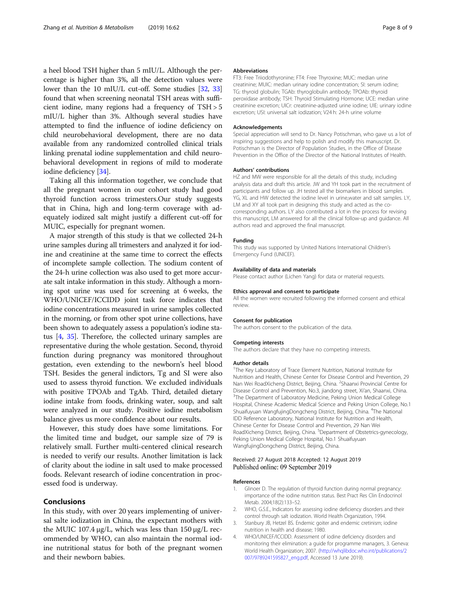<span id="page-7-0"></span>a heel blood TSH higher than 5 mIU/L. Although the percentage is higher than 3%, all the detection values were lower than the 10 mIU/L cut-off. Some studies [[32](#page-8-0), [33](#page-8-0)] found that when screening neonatal TSH areas with sufficient iodine, many regions had a frequency of TSH > 5 mIU/L higher than 3%. Although several studies have attempted to find the influence of iodine deficiency on child neurobehavioral development, there are no data available from any randomized controlled clinical trials linking prenatal iodine supplementation and child neurobehavioral development in regions of mild to moderate iodine deficiency [\[34](#page-8-0)].

Taking all this information together, we conclude that all the pregnant women in our cohort study had good thyroid function across trimesters.Our study suggests that in China, high and long-term coverage with adequately iodized salt might justify a different cut-off for MUIC, especially for pregnant women.

A major strength of this study is that we collected 24-h urine samples during all trimesters and analyzed it for iodine and creatinine at the same time to correct the effects of incomplete sample collection. The sodium content of the 24-h urine collection was also used to get more accurate salt intake information in this study. Although a morning spot urine was used for screening at 6 weeks, the WHO/UNICEF/ICCIDD joint task force indicates that iodine concentrations measured in urine samples collected in the morning, or from other spot urine collections, have been shown to adequately assess a population's iodine status [4, [35\]](#page-8-0). Therefore, the collected urinary samples are representative during the whole gestation. Second, thyroid function during pregnancy was monitored throughout gestation, even extending to the newborn's heel blood TSH. Besides the general indictors, Tg and SI were also used to assess thyroid function. We excluded individuals with positive TPOAb and TgAb. Third, detailed dietary iodine intake from foods, drinking water, soup, and salt were analyzed in our study. Positive iodine metabolism balance gives us more confidence about our results.

However, this study does have some limitations. For the limited time and budget, our sample size of 79 is relatively small. Further multi-centered clinical research is needed to verify our results. Another limitation is lack of clarity about the iodine in salt used to make processed foods. Relevant research of iodine concentration in processed food is underway.

# Conclusions

In this study, with over 20 years implementing of universal salte iodization in China, the expectant mothers with the MUIC 107.4 μg/L, which was less than  $150 \mu g/L$  recommended by WHO, can also maintain the normal iodine nutritional status for both of the pregnant women and their newborn babies.

#### Abbreviations

FT3: Free Triiodothyronine; FT4: Free Thyroxine; MUC: median urine creatinine; MUIC: median urinary iodine concentration; SI: serum iodine; TG: thyroid globulin; TGAb: thyroglobulin antibody; TPOAb: thyroid peroxidase antibody; TSH: Thyroid Stimulating Hormone; UCE: median urine creatinine excretion; UICr: creatinine-adjusted urine iodine; UIE: urinary iodine excretion; USI: universal salt iodization; V24 h: 24-h urine volume

#### Acknowledgements

Special appreciation will send to Dr. Nancy Potischman, who gave us a lot of inspiring suggestions and help to polish and modify this manuscript. Dr. Potischman is the Director of Population Studies, in the Office of Disease Prevention in the Office of the Director of the National Institutes of Health.

#### Authors' contributions

HZ and MW were responsible for all the details of this study, including analysis data and draft this article. JW and YH took part in the recruitment of participants and follow up. JH tested all the biomarkers in blood samples. YG, XL and HW detected the iodine level in urine,water and salt samples. LY, LM and XY all took part in designing this study and acted as the cocorresponding authors. LY also contributed a lot in the process for revising this manuscript, LM answered for all the clinical follow-up and guidance. All authors read and approved the final manuscript.

#### Funding

This study was supported by United Nations International Children's Emergency Fund (UNICEF).

#### Availability of data and materials

Please contact author (Lichen Yang) for data or material requests.

#### Ethics approval and consent to participate

All the women were recruited following the informed consent and ethical review.

#### Consent for publication

The authors consent to the publication of the data.

#### Competing interests

The authors declare that they have no competing interests.

#### Author details

<sup>1</sup>The Key Laboratory of Trace Element Nutrition, National Institute for Nutrition and Health, Chinese Center for Disease Control and Prevention, 29 Nan Wei RoadXicheng District, Beijing, China. <sup>2</sup>Shaanxi Provincial Centre for Disease Control and Prevention, No.3, jiandong street, Xi'an, Shaanxi, China. <sup>3</sup> <sup>3</sup>The Department of Laboratory Medicine, Peking Union Medical College Hospital, Chinese Academic Medical Science and Peking Union College, No.1 Shuaifuyuan WangfujingDongcheng District, Beijing, China. <sup>4</sup>The National IDD Reference Laboratory, National Institute for Nutrition and Health, Chinese Center for Disease Control and Prevention, 29 Nan Wei RoadXicheng District, Beijing, China. <sup>5</sup>Department of Obstetrics-gynecology, Peking Union Medical College Hospital, No.1 Shuaifuyuan WangfujingDongcheng District, Beijing, China.

#### Received: 27 August 2018 Accepted: 12 August 2019 Published online: 09 September 2019

#### References

- 1. Glinoer D. The regulation of thyroid function during normal pregnancy: importance of the iodine nutrition status. Best Pract Res Clin Endocrinol Metab. 2004;18(2):133–52.
- 2. WHO, G.S.E., Indicators for assessing iodine deficiency disorders and their control through salt iodization. World Health Organization, 1994.
- 3. Stanbury JB, Hetzel BS. Endemic goiter and endemic cretinism; iodine nutrition in health and disease; 1980.
- 4. WHO/UNICEF/ICCIDD. Assessment of iodine deficiency disorders and monitoring their elimination: a guide for programme managers, 3. Geneva: World Health Organization; 2007. ([http://whqlibdoc.who.int/publications/2](http://whqlibdoc.who.int/publications/2007/9789241595827_eng.pdf) [007/9789241595827\\_eng.pdf](http://whqlibdoc.who.int/publications/2007/9789241595827_eng.pdf), Accessed 13 June 2019).